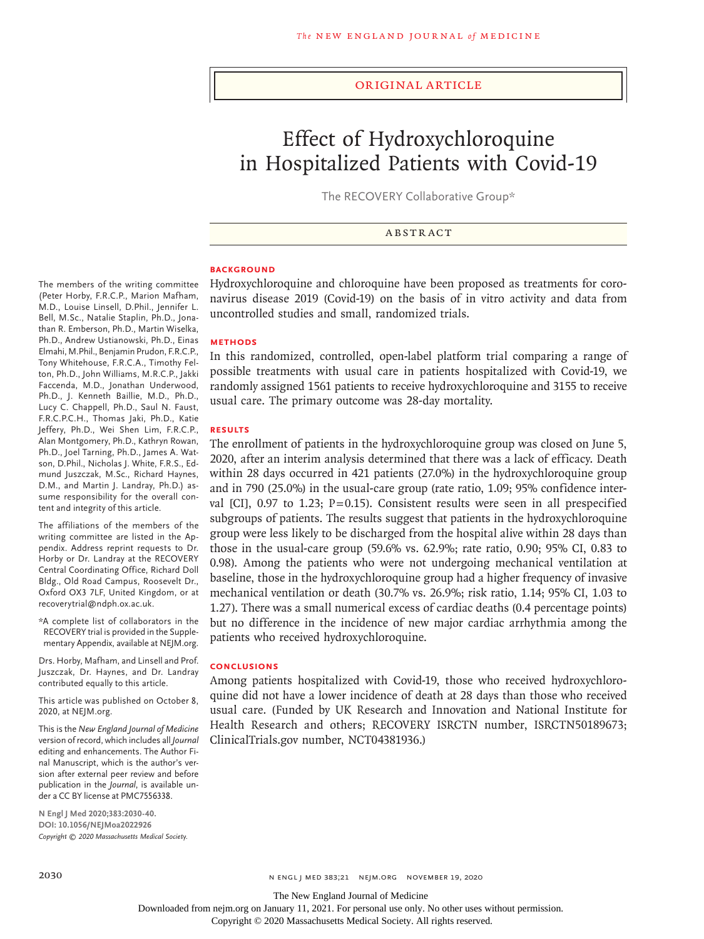## Original Article

# Effect of Hydroxychloroquine in Hospitalized Patients with Covid-19

The RECOVERY Collaborative Group\*

ABSTRACT

## **BACKGROUND**

Hydroxychloroquine and chloroquine have been proposed as treatments for coronavirus disease 2019 (Covid-19) on the basis of in vitro activity and data from uncontrolled studies and small, randomized trials.

## **METHODS**

In this randomized, controlled, open-label platform trial comparing a range of possible treatments with usual care in patients hospitalized with Covid-19, we randomly assigned 1561 patients to receive hydroxychloroquine and 3155 to receive usual care. The primary outcome was 28-day mortality.

#### **RESULTS**

The enrollment of patients in the hydroxychloroquine group was closed on June 5, 2020, after an interim analysis determined that there was a lack of efficacy. Death within 28 days occurred in 421 patients (27.0%) in the hydroxychloroquine group and in 790 (25.0%) in the usual-care group (rate ratio, 1.09; 95% confidence interval [CI], 0.97 to 1.23; P=0.15). Consistent results were seen in all prespecified subgroups of patients. The results suggest that patients in the hydroxychloroquine group were less likely to be discharged from the hospital alive within 28 days than those in the usual-care group (59.6% vs. 62.9%; rate ratio, 0.90; 95% CI, 0.83 to 0.98). Among the patients who were not undergoing mechanical ventilation at baseline, those in the hydroxychloroquine group had a higher frequency of invasive mechanical ventilation or death (30.7% vs. 26.9%; risk ratio, 1.14; 95% CI, 1.03 to 1.27). There was a small numerical excess of cardiac deaths (0.4 percentage points) but no difference in the incidence of new major cardiac arrhythmia among the patients who received hydroxychloroquine.

## **CONCLUSIONS**

Among patients hospitalized with Covid-19, those who received hydroxychloroquine did not have a lower incidence of death at 28 days than those who received usual care. (Funded by UK Research and Innovation and National Institute for Health Research and others; RECOVERY ISRCTN number, ISRCTN50189673; ClinicalTrials.gov number, NCT04381936.)

The members of the writing committee (Peter Horby, F.R.C.P., Marion Mafham, M.D., Louise Linsell, D.Phil., Jennifer L. Bell, M.Sc., Natalie Staplin, Ph.D., Jonathan R. Emberson, Ph.D., Martin Wiselka, Ph.D., Andrew Ustianowski, Ph.D., Einas Elmahi, M.Phil., Benjamin Prudon, F.R.C.P., Tony Whitehouse, F.R.C.A., Timothy Felton, Ph.D., John Williams, M.R.C.P., Jakki Faccenda, M.D., Jonathan Underwood, Ph.D., J. Kenneth Baillie, M.D., Ph.D., Lucy C. Chappell, Ph.D., Saul N. Faust, F.R.C.P.C.H., Thomas Jaki, Ph.D., Katie Jeffery, Ph.D., Wei Shen Lim, F.R.C.P., Alan Montgomery, Ph.D., Kathryn Rowan, Ph.D., Joel Tarning, Ph.D., James A. Watson, D.Phil., Nicholas J. White, F.R.S., Edmund Juszczak, M.Sc., Richard Haynes, D.M., and Martin J. Landray, Ph.D.) assume responsibility for the overall content and integrity of this article.

The affiliations of the members of the writing committee are listed in the Appendix. Address reprint requests to Dr. Horby or Dr. Landray at the RECOVERY Central Coordinating Office, Richard Doll Bldg., Old Road Campus, Roosevelt Dr., Oxford OX3 7LF, United Kingdom, or at recoverytrial@ndph.ox.ac.uk.

\*A complete list of collaborators in the RECOVERY trial is provided in the Supplementary Appendix, available at NEJM.org.

Drs. Horby, Mafham, and Linsell and Prof. Juszczak, Dr. Haynes, and Dr. Landray contributed equally to this article.

This article was published on October 8, 2020, at NEJM.org.

This is the *New England Journal of Medicine* version of record, which includes all *Journal* editing and enhancements. The Author Final Manuscript, which is the author's version after external peer review and before publication in the *Journal*, is available under a CC BY license at PMC7556338.

**N Engl J Med 2020;383:2030-40. DOI: 10.1056/NEJMoa2022926** *Copyright © 2020 Massachusetts Medical Society.*

The New England Journal of Medicine

Downloaded from nejm.org on January 11, 2021. For personal use only. No other uses without permission. Copyright © 2020 Massachusetts Medical Society. All rights reserved.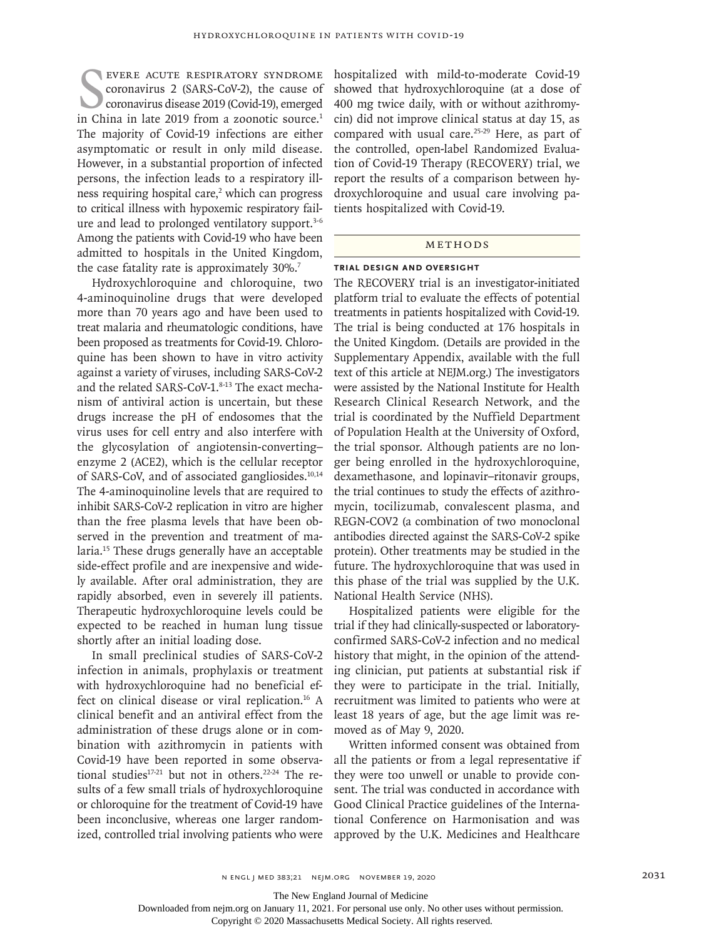EVERE ACUTE RESPIRATORY SYNDROME COTONOVITUS 2 (SARS-COV-2), the cause of coronavirus disease 2019 (Covid-19), emerged in China in late 2019 from a zoonotic source.<sup>1</sup> evere acute respiratory syndrome coronavirus 2 (SARS-CoV-2), the cause of coronavirus disease 2019 (Covid-19), emerged The majority of Covid-19 infections are either asymptomatic or result in only mild disease. However, in a substantial proportion of infected persons, the infection leads to a respiratory illness requiring hospital care,<sup>2</sup> which can progress to critical illness with hypoxemic respiratory failure and lead to prolonged ventilatory support.<sup>3-6</sup> Among the patients with Covid-19 who have been admitted to hospitals in the United Kingdom, the case fatality rate is approximately 30%.<sup>7</sup>

Hydroxychloroquine and chloroquine, two 4-aminoquinoline drugs that were developed more than 70 years ago and have been used to treat malaria and rheumatologic conditions, have been proposed as treatments for Covid-19. Chloroquine has been shown to have in vitro activity against a variety of viruses, including SARS-CoV-2 and the related SARS-CoV-1.8-13 The exact mechanism of antiviral action is uncertain, but these drugs increase the pH of endosomes that the virus uses for cell entry and also interfere with the glycosylation of angiotensin-converting– enzyme 2 (ACE2), which is the cellular receptor of SARS-CoV, and of associated gangliosides.<sup>10,14</sup> The 4-aminoquinoline levels that are required to inhibit SARS-CoV-2 replication in vitro are higher than the free plasma levels that have been observed in the prevention and treatment of malaria.15 These drugs generally have an acceptable side-effect profile and are inexpensive and widely available. After oral administration, they are rapidly absorbed, even in severely ill patients. Therapeutic hydroxychloroquine levels could be expected to be reached in human lung tissue shortly after an initial loading dose.

In small preclinical studies of SARS-CoV-2 infection in animals, prophylaxis or treatment with hydroxychloroquine had no beneficial effect on clinical disease or viral replication.<sup>16</sup> A clinical benefit and an antiviral effect from the administration of these drugs alone or in combination with azithromycin in patients with Covid-19 have been reported in some observational studies<sup>17-21</sup> but not in others.<sup>22-24</sup> The results of a few small trials of hydroxychloroquine or chloroquine for the treatment of Covid-19 have been inconclusive, whereas one larger randomized, controlled trial involving patients who were hospitalized with mild-to-moderate Covid-19 showed that hydroxychloroquine (at a dose of 400 mg twice daily, with or without azithromycin) did not improve clinical status at day 15, as compared with usual care.<sup>25-29</sup> Here, as part of the controlled, open-label Randomized Evaluation of Covid-19 Therapy (RECOVERY) trial, we report the results of a comparison between hydroxychloroquine and usual care involving patients hospitalized with Covid-19.

#### METHODS

#### **Trial Design and Oversight**

The RECOVERY trial is an investigator-initiated platform trial to evaluate the effects of potential treatments in patients hospitalized with Covid-19. The trial is being conducted at 176 hospitals in the United Kingdom. (Details are provided in the Supplementary Appendix, available with the full text of this article at NEJM.org.) The investigators were assisted by the National Institute for Health Research Clinical Research Network, and the trial is coordinated by the Nuffield Department of Population Health at the University of Oxford, the trial sponsor. Although patients are no longer being enrolled in the hydroxychloroquine, dexamethasone, and lopinavir–ritonavir groups, the trial continues to study the effects of azithromycin, tocilizumab, convalescent plasma, and REGN-COV2 (a combination of two monoclonal antibodies directed against the SARS-CoV-2 spike protein). Other treatments may be studied in the future. The hydroxychloroquine that was used in this phase of the trial was supplied by the U.K. National Health Service (NHS).

Hospitalized patients were eligible for the trial if they had clinically-suspected or laboratoryconfirmed SARS-CoV-2 infection and no medical history that might, in the opinion of the attending clinician, put patients at substantial risk if they were to participate in the trial. Initially, recruitment was limited to patients who were at least 18 years of age, but the age limit was removed as of May 9, 2020.

Written informed consent was obtained from all the patients or from a legal representative if they were too unwell or unable to provide consent. The trial was conducted in accordance with Good Clinical Practice guidelines of the International Conference on Harmonisation and was approved by the U.K. Medicines and Healthcare

The New England Journal of Medicine

Downloaded from nejm.org on January 11, 2021. For personal use only. No other uses without permission.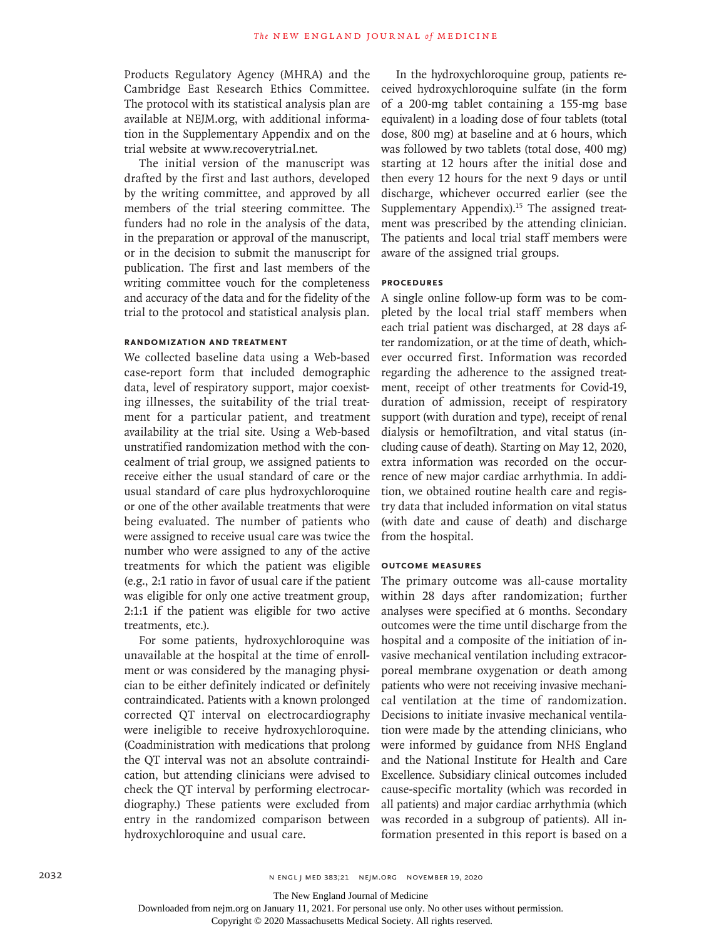Products Regulatory Agency (MHRA) and the Cambridge East Research Ethics Committee. The protocol with its statistical analysis plan are available at NEJM.org, with additional information in the Supplementary Appendix and on the trial website at www.recoverytrial.net.

The initial version of the manuscript was drafted by the first and last authors, developed by the writing committee, and approved by all members of the trial steering committee. The funders had no role in the analysis of the data, in the preparation or approval of the manuscript, or in the decision to submit the manuscript for publication. The first and last members of the writing committee vouch for the completeness and accuracy of the data and for the fidelity of the trial to the protocol and statistical analysis plan.

## **Randomization and Treatment**

We collected baseline data using a Web-based case-report form that included demographic data, level of respiratory support, major coexisting illnesses, the suitability of the trial treatment for a particular patient, and treatment availability at the trial site. Using a Web-based unstratified randomization method with the concealment of trial group, we assigned patients to receive either the usual standard of care or the usual standard of care plus hydroxychloroquine or one of the other available treatments that were being evaluated. The number of patients who were assigned to receive usual care was twice the number who were assigned to any of the active treatments for which the patient was eligible (e.g., 2:1 ratio in favor of usual care if the patient was eligible for only one active treatment group, 2:1:1 if the patient was eligible for two active treatments, etc.).

For some patients, hydroxychloroquine was unavailable at the hospital at the time of enrollment or was considered by the managing physician to be either definitely indicated or definitely contraindicated. Patients with a known prolonged corrected QT interval on electrocardiography were ineligible to receive hydroxychloroquine. (Coadministration with medications that prolong the QT interval was not an absolute contraindication, but attending clinicians were advised to check the QT interval by performing electrocardiography.) These patients were excluded from entry in the randomized comparison between hydroxychloroquine and usual care.

In the hydroxychloroquine group, patients received hydroxychloroquine sulfate (in the form of a 200-mg tablet containing a 155-mg base equivalent) in a loading dose of four tablets (total dose, 800 mg) at baseline and at 6 hours, which was followed by two tablets (total dose, 400 mg) starting at 12 hours after the initial dose and then every 12 hours for the next 9 days or until discharge, whichever occurred earlier (see the Supplementary Appendix).<sup>15</sup> The assigned treatment was prescribed by the attending clinician. The patients and local trial staff members were aware of the assigned trial groups.

## **Procedures**

A single online follow-up form was to be completed by the local trial staff members when each trial patient was discharged, at 28 days after randomization, or at the time of death, whichever occurred first. Information was recorded regarding the adherence to the assigned treatment, receipt of other treatments for Covid-19, duration of admission, receipt of respiratory support (with duration and type), receipt of renal dialysis or hemofiltration, and vital status (including cause of death). Starting on May 12, 2020, extra information was recorded on the occurrence of new major cardiac arrhythmia. In addition, we obtained routine health care and registry data that included information on vital status (with date and cause of death) and discharge from the hospital.

## **Outcome Measures**

The primary outcome was all-cause mortality within 28 days after randomization; further analyses were specified at 6 months. Secondary outcomes were the time until discharge from the hospital and a composite of the initiation of invasive mechanical ventilation including extracorporeal membrane oxygenation or death among patients who were not receiving invasive mechanical ventilation at the time of randomization. Decisions to initiate invasive mechanical ventilation were made by the attending clinicians, who were informed by guidance from NHS England and the National Institute for Health and Care Excellence. Subsidiary clinical outcomes included cause-specific mortality (which was recorded in all patients) and major cardiac arrhythmia (which was recorded in a subgroup of patients). All information presented in this report is based on a

The New England Journal of Medicine

Downloaded from nejm.org on January 11, 2021. For personal use only. No other uses without permission.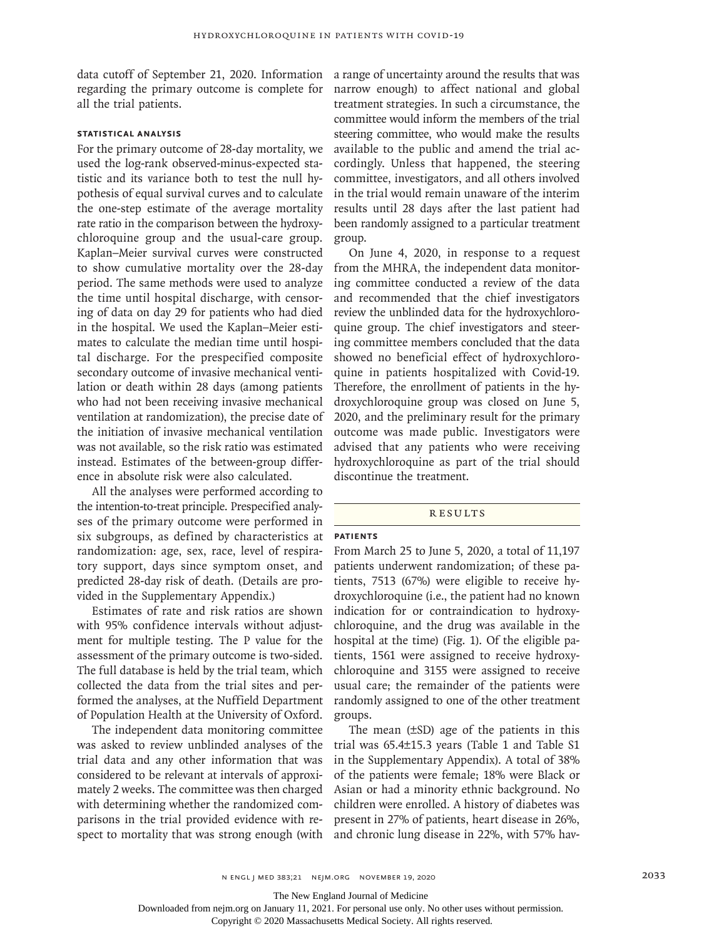data cutoff of September 21, 2020. Information regarding the primary outcome is complete for all the trial patients.

# **Statistical Analysis**

For the primary outcome of 28-day mortality, we used the log-rank observed-minus-expected statistic and its variance both to test the null hypothesis of equal survival curves and to calculate the one-step estimate of the average mortality rate ratio in the comparison between the hydroxychloroquine group and the usual-care group. Kaplan–Meier survival curves were constructed to show cumulative mortality over the 28-day period. The same methods were used to analyze the time until hospital discharge, with censoring of data on day 29 for patients who had died in the hospital. We used the Kaplan–Meier estimates to calculate the median time until hospital discharge. For the prespecified composite secondary outcome of invasive mechanical ventilation or death within 28 days (among patients who had not been receiving invasive mechanical ventilation at randomization), the precise date of the initiation of invasive mechanical ventilation was not available, so the risk ratio was estimated instead. Estimates of the between-group difference in absolute risk were also calculated.

All the analyses were performed according to the intention-to-treat principle. Prespecified analyses of the primary outcome were performed in six subgroups, as defined by characteristics at randomization: age, sex, race, level of respiratory support, days since symptom onset, and predicted 28-day risk of death. (Details are provided in the Supplementary Appendix.)

Estimates of rate and risk ratios are shown with 95% confidence intervals without adjustment for multiple testing. The P value for the assessment of the primary outcome is two-sided. The full database is held by the trial team, which collected the data from the trial sites and performed the analyses, at the Nuffield Department of Population Health at the University of Oxford.

The independent data monitoring committee was asked to review unblinded analyses of the trial data and any other information that was considered to be relevant at intervals of approximately 2 weeks. The committee was then charged with determining whether the randomized comparisons in the trial provided evidence with respect to mortality that was strong enough (with a range of uncertainty around the results that was narrow enough) to affect national and global treatment strategies. In such a circumstance, the committee would inform the members of the trial steering committee, who would make the results available to the public and amend the trial accordingly. Unless that happened, the steering committee, investigators, and all others involved in the trial would remain unaware of the interim results until 28 days after the last patient had been randomly assigned to a particular treatment group.

On June 4, 2020, in response to a request from the MHRA, the independent data monitoring committee conducted a review of the data and recommended that the chief investigators review the unblinded data for the hydroxychloroquine group. The chief investigators and steering committee members concluded that the data showed no beneficial effect of hydroxychloroquine in patients hospitalized with Covid-19. Therefore, the enrollment of patients in the hydroxychloroquine group was closed on June 5, 2020, and the preliminary result for the primary outcome was made public. Investigators were advised that any patients who were receiving hydroxychloroquine as part of the trial should discontinue the treatment.

#### **RESULTS**

#### **Patients**

From March 25 to June 5, 2020, a total of 11,197 patients underwent randomization; of these patients, 7513 (67%) were eligible to receive hydroxychloroquine (i.e., the patient had no known indication for or contraindication to hydroxychloroquine, and the drug was available in the hospital at the time) (Fig. 1). Of the eligible patients, 1561 were assigned to receive hydroxychloroquine and 3155 were assigned to receive usual care; the remainder of the patients were randomly assigned to one of the other treatment groups.

The mean (±SD) age of the patients in this trial was 65.4±15.3 years (Table 1 and Table S1 in the Supplementary Appendix). A total of 38% of the patients were female; 18% were Black or Asian or had a minority ethnic background. No children were enrolled. A history of diabetes was present in 27% of patients, heart disease in 26%, and chronic lung disease in 22%, with 57% hav-

The New England Journal of Medicine

Downloaded from nejm.org on January 11, 2021. For personal use only. No other uses without permission.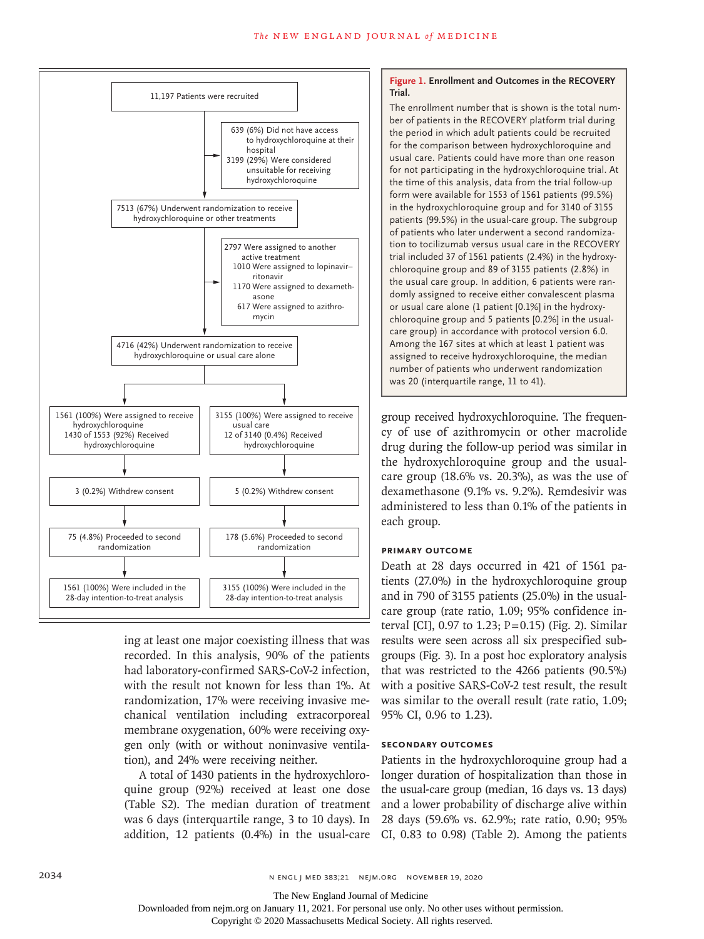

ing at least one major coexisting illness that was recorded. In this analysis, 90% of the patients had laboratory-confirmed SARS-CoV-2 infection, with the result not known for less than 1%. At randomization, 17% were receiving invasive mechanical ventilation including extracorporeal membrane oxygenation, 60% were receiving oxygen only (with or without noninvasive ventilation), and 24% were receiving neither.

A total of 1430 patients in the hydroxychloroaddition, 12 patients (0.4%) in the usual-care CI, 0.83 to 0.98) (Table 2). Among the patients

## **Figure 1. Enrollment and Outcomes in the RECOVERY Trial.**

The enrollment number that is shown is the total number of patients in the RECOVERY platform trial during the period in which adult patients could be recruited for the comparison between hydroxychloroquine and usual care. Patients could have more than one reason for not participating in the hydroxychloroquine trial. At the time of this analysis, data from the trial follow-up form were available for 1553 of 1561 patients (99.5%) in the hydroxychloroquine group and for 3140 of 3155 patients (99.5%) in the usual-care group. The subgroup of patients who later underwent a second randomization to tocilizumab versus usual care in the RECOVERY trial included 37 of 1561 patients (2.4%) in the hydroxychloroquine group and 89 of 3155 patients (2.8%) in the usual care group. In addition, 6 patients were randomly assigned to receive either convalescent plasma or usual care alone (1 patient [0.1%] in the hydroxychloroquine group and 5 patients [0.2%] in the usualcare group) in accordance with protocol version 6.0. Among the 167 sites at which at least 1 patient was assigned to receive hydroxychloroquine, the median number of patients who underwent randomization was 20 (interquartile range, 11 to 41).

group received hydroxychloroquine. The frequency of use of azithromycin or other macrolide drug during the follow-up period was similar in the hydroxychloroquine group and the usualcare group (18.6% vs. 20.3%), as was the use of dexamethasone (9.1% vs. 9.2%). Remdesivir was administered to less than 0.1% of the patients in each group.

## **Primary Outcome**

Death at 28 days occurred in 421 of 1561 patients (27.0%) in the hydroxychloroquine group and in 790 of 3155 patients (25.0%) in the usualcare group (rate ratio, 1.09; 95% confidence interval [CI],  $0.97$  to 1.23;  $P = 0.15$ ) (Fig. 2). Similar results were seen across all six prespecified subgroups (Fig. 3). In a post hoc exploratory analysis that was restricted to the 4266 patients (90.5%) with a positive SARS-CoV-2 test result, the result was similar to the overall result (rate ratio, 1.09; 95% CI, 0.96 to 1.23).

## **Secondary Outcomes**

quine group (92%) received at least one dose the usual-care group (median, 16 days vs. 13 days) (Table S2). The median duration of treatment and a lower probability of discharge alive within was 6 days (interquartile range, 3 to 10 days). In 28 days (59.6% vs. 62.9%; rate ratio, 0.90; 95% Patients in the hydroxychloroquine group had a longer duration of hospitalization than those in

The New England Journal of Medicine

Downloaded from nejm.org on January 11, 2021. For personal use only. No other uses without permission.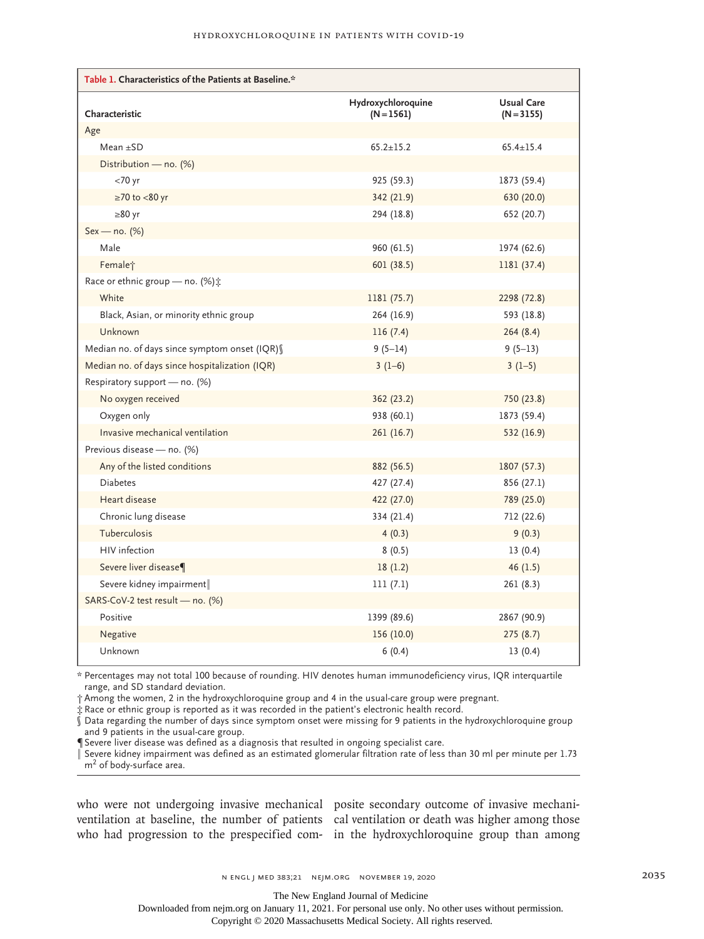| Table 1. Characteristics of the Patients at Baseline.* |                                    |                                   |  |  |  |
|--------------------------------------------------------|------------------------------------|-----------------------------------|--|--|--|
| Characteristic                                         | Hydroxychloroquine<br>$(N = 1561)$ | <b>Usual Care</b><br>$(N = 3155)$ |  |  |  |
| Age                                                    |                                    |                                   |  |  |  |
| $Mean + SD$                                            | $65.2 \pm 15.2$                    | $65.4 \pm 15.4$                   |  |  |  |
| Distribution - no. $(\%)$                              |                                    |                                   |  |  |  |
| $<$ 70 yr                                              | 925 (59.3)                         | 1873 (59.4)                       |  |  |  |
| $\geq$ 70 to <80 yr                                    | 342 (21.9)                         | 630 (20.0)                        |  |  |  |
| $\geq 80$ yr                                           | 294 (18.8)                         | 652 (20.7)                        |  |  |  |
| $Sex - no. (%)$                                        |                                    |                                   |  |  |  |
| Male                                                   | 960 (61.5)                         | 1974 (62.6)                       |  |  |  |
| Female <sup>+</sup>                                    | 601(38.5)                          | 1181 (37.4)                       |  |  |  |
| Race or ethnic group - no. (%) :                       |                                    |                                   |  |  |  |
| White                                                  | 1181 (75.7)                        | 2298 (72.8)                       |  |  |  |
| Black, Asian, or minority ethnic group                 | 264 (16.9)                         | 593 (18.8)                        |  |  |  |
| Unknown                                                | 116(7.4)                           | 264(8.4)                          |  |  |  |
| Median no. of days since symptom onset (IQR) §         | $9(5-14)$                          | $9(5-13)$                         |  |  |  |
| Median no. of days since hospitalization (IQR)         | $3(1-6)$                           | $3(1-5)$                          |  |  |  |
| Respiratory support - no. (%)                          |                                    |                                   |  |  |  |
| No oxygen received                                     | 362 (23.2)                         | 750 (23.8)                        |  |  |  |
| Oxygen only                                            | 938 (60.1)                         | 1873 (59.4)                       |  |  |  |
| Invasive mechanical ventilation                        | 261(16.7)                          | 532 (16.9)                        |  |  |  |
| Previous disease - no. (%)                             |                                    |                                   |  |  |  |
| Any of the listed conditions                           | 882 (56.5)                         | 1807 (57.3)                       |  |  |  |
| <b>Diabetes</b>                                        | 427 (27.4)                         | 856 (27.1)                        |  |  |  |
| Heart disease                                          | 422 (27.0)                         | 789 (25.0)                        |  |  |  |
| Chronic lung disease                                   | 334 (21.4)                         | 712 (22.6)                        |  |  |  |
| Tuberculosis                                           | 4(0.3)                             | 9(0.3)                            |  |  |  |
| HIV infection                                          | 8(0.5)                             | 13(0.4)                           |  |  |  |
| Severe liver disease¶                                  | 18(1.2)                            | 46(1.5)                           |  |  |  |
| Severe kidney impairment                               | 111(7.1)                           | 261 (8.3)                         |  |  |  |
| SARS-CoV-2 test result - no. (%)                       |                                    |                                   |  |  |  |
| Positive                                               | 1399 (89.6)                        | 2867 (90.9)                       |  |  |  |
| Negative                                               | 156 (10.0)                         | 275(8.7)                          |  |  |  |
| Unknown                                                | 6(0.4)                             | 13(0.4)                           |  |  |  |

\* Percentages may not total 100 because of rounding. HIV denotes human immunodeficiency virus, IQR interquartile range, and SD standard deviation.

† Among the women, 2 in the hydroxychloroquine group and 4 in the usual-care group were pregnant.

‡ Race or ethnic group is reported as it was recorded in the patient's electronic health record.

 $\hat{\S}$  Data regarding the number of days since symptom onset were missing for 9 patients in the hydroxychloroquine group and 9 patients in the usual-care group.

¶ Severe liver disease was defined as a diagnosis that resulted in ongoing specialist care.

 $\mathring{\hspace{0.1cm}}$  Severe kidney impairment was defined as an estimated glomerular filtration rate of less than 30 ml per minute per 1.73 m<sup>2</sup> of body-surface area.

who were not undergoing invasive mechanical posite secondary outcome of invasive mechaniventilation at baseline, the number of patients cal ventilation or death was higher among those who had progression to the prespecified com-in the hydroxychloroquine group than among

The New England Journal of Medicine

Downloaded from nejm.org on January 11, 2021. For personal use only. No other uses without permission.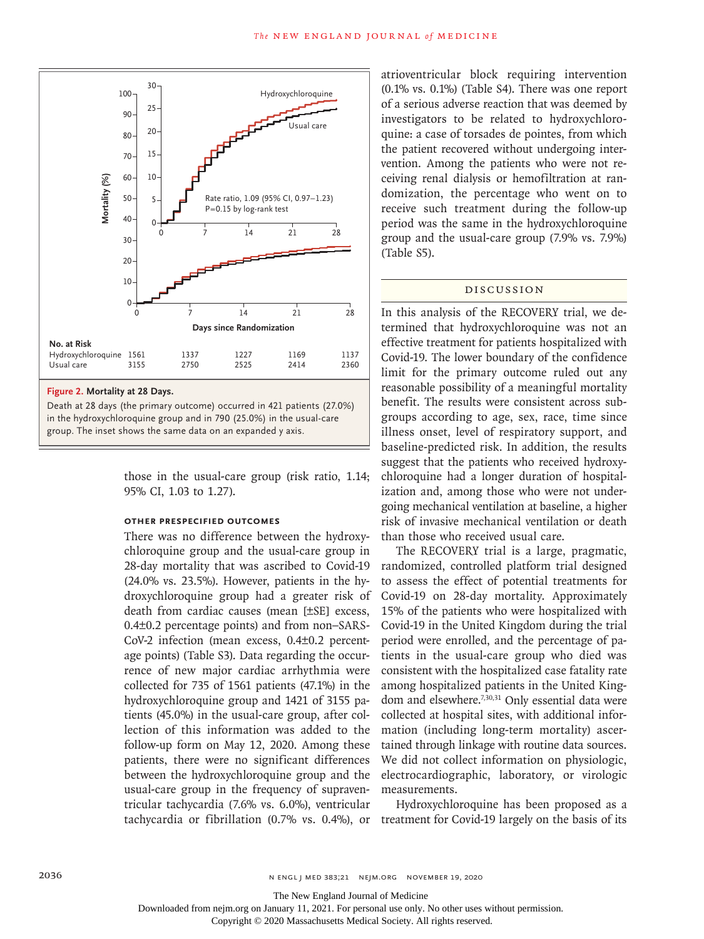

Death at 28 days (the primary outcome) occurred in 421 patients (27.0%) in the hydroxychloroquine group and in 790 (25.0%) in the usual-care

> those in the usual-care group (risk ratio, 1.14; 95% CI, 1.03 to 1.27).

# **Other Prespecified Outcomes**

There was no difference between the hydroxychloroquine group and the usual-care group in 28-day mortality that was ascribed to Covid-19 (24.0% vs. 23.5%). However, patients in the hydroxychloroquine group had a greater risk of death from cardiac causes (mean [±SE] excess, 0.4±0.2 percentage points) and from non–SARS-CoV-2 infection (mean excess, 0.4±0.2 percentage points) (Table S3). Data regarding the occurrence of new major cardiac arrhythmia were collected for 735 of 1561 patients (47.1%) in the hydroxychloroquine group and 1421 of 3155 patients (45.0%) in the usual-care group, after collection of this information was added to the follow-up form on May 12, 2020. Among these patients, there were no significant differences between the hydroxychloroquine group and the usual-care group in the frequency of supraventricular tachycardia (7.6% vs. 6.0%), ventricular tachycardia or fibrillation (0.7% vs. 0.4%), or treatment for Covid-19 largely on the basis of its

atrioventricular block requiring intervention (0.1% vs. 0.1%) (Table S4). There was one report of a serious adverse reaction that was deemed by investigators to be related to hydroxychloroquine: a case of torsades de pointes, from which the patient recovered without undergoing intervention. Among the patients who were not receiving renal dialysis or hemofiltration at randomization, the percentage who went on to receive such treatment during the follow-up period was the same in the hydroxychloroquine group and the usual-care group (7.9% vs. 7.9%) (Table S5).

## Discussion

In this analysis of the RECOVERY trial, we determined that hydroxychloroquine was not an effective treatment for patients hospitalized with Covid-19. The lower boundary of the confidence limit for the primary outcome ruled out any reasonable possibility of a meaningful mortality benefit. The results were consistent across subgroups according to age, sex, race, time since illness onset, level of respiratory support, and baseline-predicted risk. In addition, the results suggest that the patients who received hydroxychloroquine had a longer duration of hospitalization and, among those who were not undergoing mechanical ventilation at baseline, a higher risk of invasive mechanical ventilation or death than those who received usual care.

The RECOVERY trial is a large, pragmatic, randomized, controlled platform trial designed to assess the effect of potential treatments for Covid-19 on 28-day mortality. Approximately 15% of the patients who were hospitalized with Covid-19 in the United Kingdom during the trial period were enrolled, and the percentage of patients in the usual-care group who died was consistent with the hospitalized case fatality rate among hospitalized patients in the United Kingdom and elsewhere.<sup>7,30,31</sup> Only essential data were collected at hospital sites, with additional information (including long-term mortality) ascertained through linkage with routine data sources. We did not collect information on physiologic, electrocardiographic, laboratory, or virologic measurements.

Hydroxychloroquine has been proposed as a

The New England Journal of Medicine

Downloaded from nejm.org on January 11, 2021. For personal use only. No other uses without permission.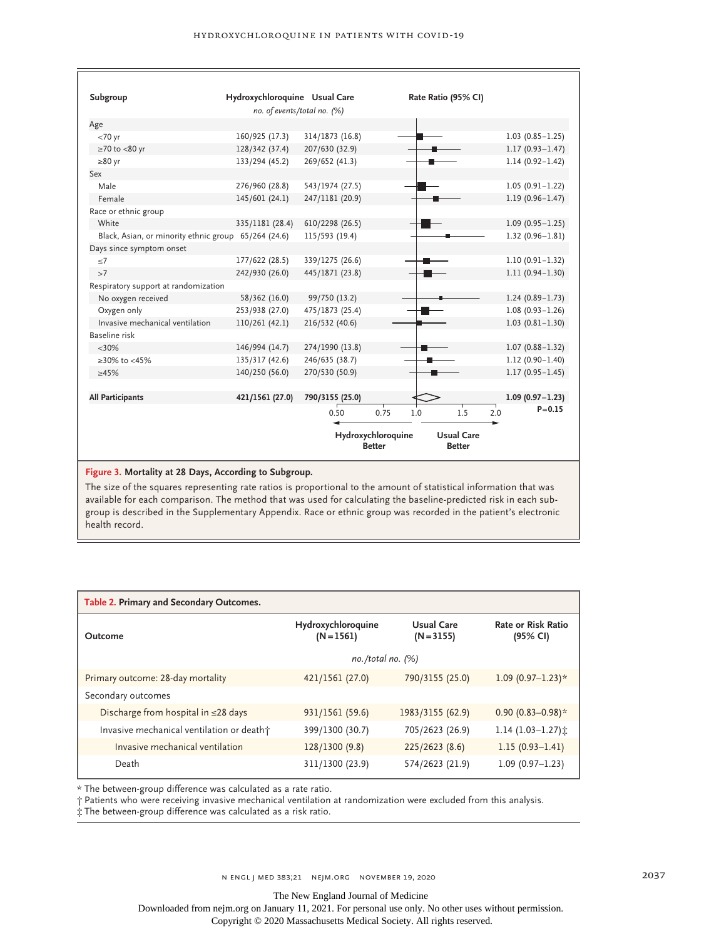| Subgroup                                             | Hydroxychloroquine Usual Care |                                                                           |      | Rate Ratio (95% CI) |            |                     |
|------------------------------------------------------|-------------------------------|---------------------------------------------------------------------------|------|---------------------|------------|---------------------|
|                                                      | no. of events/total no. (%)   |                                                                           |      |                     |            |                     |
| Age                                                  |                               |                                                                           |      |                     |            |                     |
| $<70$ yr                                             | 160/925 (17.3)                | 314/1873 (16.8)                                                           |      |                     |            | $1.03(0.85 - 1.25)$ |
| $\geq$ 70 to <80 yr                                  | 128/342 (37.4)                | 207/630 (32.9)                                                            |      |                     |            | $1.17(0.93 - 1.47)$ |
| $\geq 80$ yr                                         | 133/294 (45.2)                | 269/652 (41.3)                                                            |      |                     |            | $1.14(0.92 - 1.42)$ |
| Sex                                                  |                               |                                                                           |      |                     |            |                     |
| Male                                                 | 276/960 (28.8)                | 543/1974 (27.5)                                                           |      |                     |            | $1.05(0.91 - 1.22)$ |
| Female                                               | 145/601 (24.1)                | 247/1181 (20.9)                                                           |      |                     |            | $1.19(0.96 - 1.47)$ |
| Race or ethnic group                                 |                               |                                                                           |      |                     |            |                     |
| White                                                | 335/1181 (28.4)               | 610/2298 (26.5)                                                           |      |                     |            | $1.09(0.95 - 1.25)$ |
| Black, Asian, or minority ethnic group 65/264 (24.6) |                               | 115/593 (19.4)                                                            |      |                     |            | $1.32(0.96 - 1.81)$ |
| Days since symptom onset                             |                               |                                                                           |      |                     |            |                     |
| < 7                                                  | 177/622 (28.5)                | 339/1275 (26.6)                                                           |      |                     |            | $1.10(0.91 - 1.32)$ |
| >7                                                   | 242/930 (26.0)                | 445/1871 (23.8)                                                           |      |                     |            | $1.11(0.94 - 1.30)$ |
| Respiratory support at randomization                 |                               |                                                                           |      |                     |            |                     |
| No oxygen received                                   | 58/362 (16.0)                 | 99/750 (13.2)                                                             |      |                     |            | $1.24(0.89 - 1.73)$ |
| Oxygen only                                          | 253/938 (27.0)                | 475/1873 (25.4)                                                           |      |                     |            | $1.08(0.93 - 1.26)$ |
| Invasive mechanical ventilation                      | 110/261 (42.1)                | 216/532 (40.6)                                                            |      |                     |            | $1.03(0.81 - 1.30)$ |
| Baseline risk                                        |                               |                                                                           |      |                     |            |                     |
| $<30\%$                                              | 146/994 (14.7)                | 274/1990 (13.8)                                                           |      |                     |            | $1.07(0.88 - 1.32)$ |
| $≥30\%$ to <45%                                      | 135/317 (42.6)                | 246/635 (38.7)                                                            |      |                     |            | $1.12(0.90 - 1.40)$ |
| $\geq 45\%$                                          | 140/250 (56.0)                | 270/530 (50.9)                                                            |      |                     |            | $1.17(0.95 - 1.45)$ |
| <b>All Participants</b>                              | 421/1561 (27.0)               | 790/3155 (25.0)                                                           |      |                     |            | $1.09(0.97 - 1.23)$ |
|                                                      |                               | 0.50                                                                      | 0.75 | 1.0                 | 1.5<br>2.0 | $P = 0.15$          |
|                                                      |                               |                                                                           |      |                     |            |                     |
|                                                      |                               | Hydroxychloroquine<br><b>Usual Care</b><br><b>Better</b><br><b>Better</b> |      |                     |            |                     |

## **Figure 3. Mortality at 28 Days, According to Subgroup.**

The size of the squares representing rate ratios is proportional to the amount of statistical information that was available for each comparison. The method that was used for calculating the baseline-predicted risk in each subgroup is described in the Supplementary Appendix. Race or ethnic group was recorded in the patient's electronic health record.

| Table 2. Primary and Secondary Outcomes.  |                                    |                            |                                       |  |  |  |  |
|-------------------------------------------|------------------------------------|----------------------------|---------------------------------------|--|--|--|--|
| Outcome                                   | Hydroxychloroquine<br>$(N = 1561)$ | Usual Care<br>$(N = 3155)$ | <b>Rate or Risk Ratio</b><br>(95% CI) |  |  |  |  |
|                                           | $no. /total no.$ (%)               |                            |                                       |  |  |  |  |
| Primary outcome: 28-day mortality         | 421/1561 (27.0)                    | 790/3155 (25.0)            | 1.09 $(0.97-1.23)*$                   |  |  |  |  |
| Secondary outcomes                        |                                    |                            |                                       |  |  |  |  |
| Discharge from hospital in $\leq$ 28 days | 931/1561 (59.6)                    | 1983/3155 (62.9)           | $0.90(0.83 - 0.98)*$                  |  |  |  |  |
| Invasive mechanical ventilation or death+ | 399/1300 (30.7)                    | 705/2623 (26.9)            | 1.14 $(1.03-1.27)$ :                  |  |  |  |  |
| Invasive mechanical ventilation           | 128/1300 (9.8)                     | 225/2623(8.6)              | $1.15(0.93 - 1.41)$                   |  |  |  |  |
| Death                                     | 311/1300 (23.9)                    | 574/2623 (21.9)            | $1.09(0.97 - 1.23)$                   |  |  |  |  |

\* The between-group difference was calculated as a rate ratio.

† Patients who were receiving invasive mechanical ventilation at randomization were excluded from this analysis.

‡ The between-group difference was calculated as a risk ratio.

The New England Journal of Medicine

Downloaded from nejm.org on January 11, 2021. For personal use only. No other uses without permission.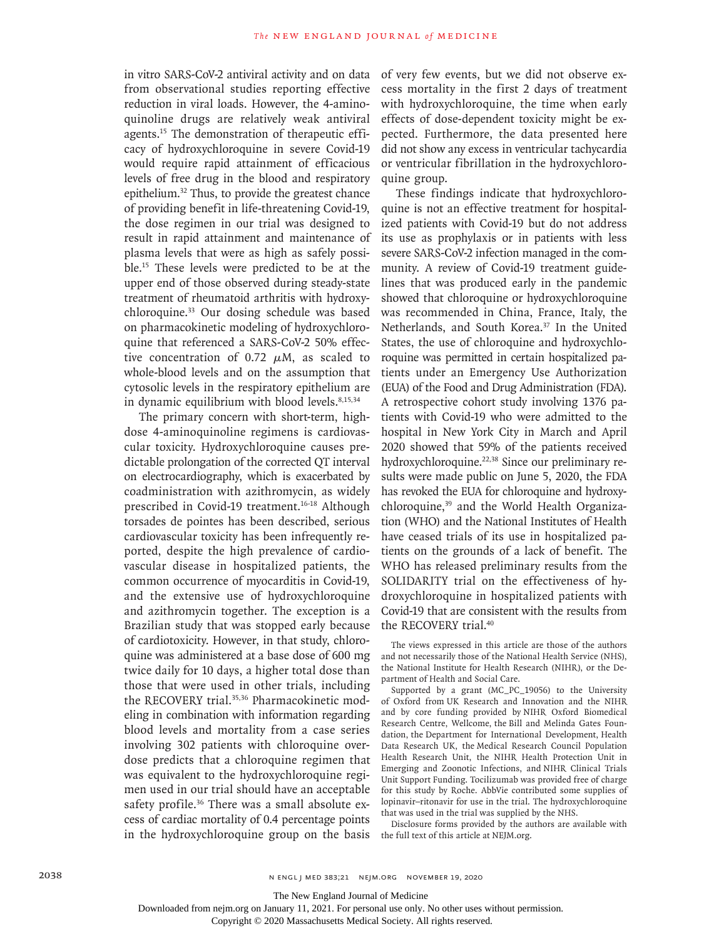in vitro SARS-CoV-2 antiviral activity and on data from observational studies reporting effective reduction in viral loads. However, the 4-aminoquinoline drugs are relatively weak antiviral agents.15 The demonstration of therapeutic efficacy of hydroxychloroquine in severe Covid-19 would require rapid attainment of efficacious levels of free drug in the blood and respiratory epithelium.32 Thus, to provide the greatest chance of providing benefit in life-threatening Covid-19, the dose regimen in our trial was designed to result in rapid attainment and maintenance of plasma levels that were as high as safely possible.15 These levels were predicted to be at the upper end of those observed during steady-state treatment of rheumatoid arthritis with hydroxychloroquine.33 Our dosing schedule was based on pharmacokinetic modeling of hydroxychloroquine that referenced a SARS-CoV-2 50% effective concentration of 0.72  $\mu$ M, as scaled to whole-blood levels and on the assumption that cytosolic levels in the respiratory epithelium are in dynamic equilibrium with blood levels. $8,15,34$ 

The primary concern with short-term, highdose 4-aminoquinoline regimens is cardiovascular toxicity. Hydroxychloroquine causes predictable prolongation of the corrected QT interval on electrocardiography, which is exacerbated by coadministration with azithromycin, as widely prescribed in Covid-19 treatment.<sup>16-18</sup> Although torsades de pointes has been described, serious cardiovascular toxicity has been infrequently reported, despite the high prevalence of cardiovascular disease in hospitalized patients, the common occurrence of myocarditis in Covid-19, and the extensive use of hydroxychloroquine and azithromycin together. The exception is a Brazilian study that was stopped early because of cardiotoxicity. However, in that study, chloroquine was administered at a base dose of 600 mg twice daily for 10 days, a higher total dose than those that were used in other trials, including the RECOVERY trial.<sup>35,36</sup> Pharmacokinetic modeling in combination with information regarding blood levels and mortality from a case series involving 302 patients with chloroquine overdose predicts that a chloroquine regimen that was equivalent to the hydroxychloroquine regimen used in our trial should have an acceptable safety profile.<sup>36</sup> There was a small absolute excess of cardiac mortality of 0.4 percentage points in the hydroxychloroquine group on the basis

of very few events, but we did not observe excess mortality in the first 2 days of treatment with hydroxychloroquine, the time when early effects of dose-dependent toxicity might be expected. Furthermore, the data presented here did not show any excess in ventricular tachycardia or ventricular fibrillation in the hydroxychloroquine group.

These findings indicate that hydroxychloroquine is not an effective treatment for hospitalized patients with Covid-19 but do not address its use as prophylaxis or in patients with less severe SARS-CoV-2 infection managed in the community. A review of Covid-19 treatment guidelines that was produced early in the pandemic showed that chloroquine or hydroxychloroquine was recommended in China, France, Italy, the Netherlands, and South Korea.<sup>37</sup> In the United States, the use of chloroquine and hydroxychloroquine was permitted in certain hospitalized patients under an Emergency Use Authorization (EUA) of the Food and Drug Administration (FDA). A retrospective cohort study involving 1376 patients with Covid-19 who were admitted to the hospital in New York City in March and April 2020 showed that 59% of the patients received hydroxychloroquine.<sup>22,38</sup> Since our preliminary results were made public on June 5, 2020, the FDA has revoked the EUA for chloroquine and hydroxychloroquine,<sup>39</sup> and the World Health Organization (WHO) and the National Institutes of Health have ceased trials of its use in hospitalized patients on the grounds of a lack of benefit. The WHO has released preliminary results from the SOLIDARITY trial on the effectiveness of hydroxychloroquine in hospitalized patients with Covid-19 that are consistent with the results from the RECOVERY trial.<sup>40</sup>

The views expressed in this article are those of the authors and not necessarily those of the National Health Service (NHS), the National Institute for Health Research (NIHR), or the Department of Health and Social Care.

Supported by a grant (MC\_PC\_19056) to the University of Oxford from UK Research and Innovation and the NIHR and by core funding provided by NIHR Oxford Biomedical Research Centre, Wellcome, the Bill and Melinda Gates Foundation, the Department for International Development, Health Data Research UK, the Medical Research Council Population Health Research Unit, the NIHR Health Protection Unit in Emerging and Zoonotic Infections, and NIHR Clinical Trials Unit Support Funding. Tocilizumab was provided free of charge for this study by Roche. AbbVie contributed some supplies of lopinavir–ritonavir for use in the trial. The hydroxychloroquine that was used in the trial was supplied by the NHS.

Disclosure forms provided by the authors are available with the full text of this article at NEJM.org.

Downloaded from nejm.org on January 11, 2021. For personal use only. No other uses without permission.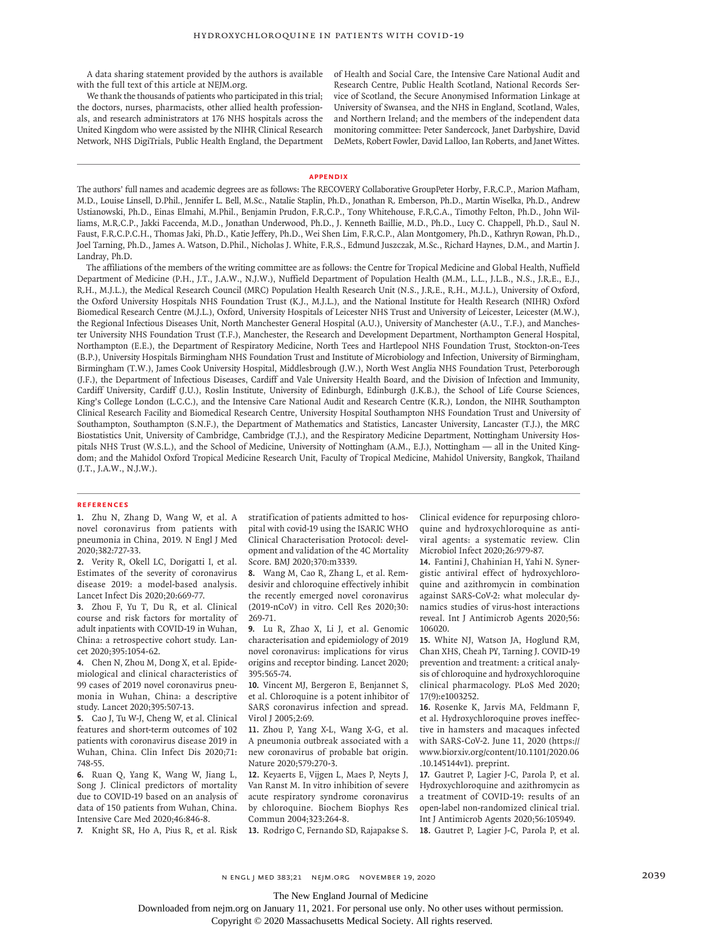A data sharing statement provided by the authors is available with the full text of this article at NEJM.org.

We thank the thousands of patients who participated in this trial; the doctors, nurses, pharmacists, other allied health professionals, and research administrators at 176 NHS hospitals across the United Kingdom who were assisted by the NIHR Clinical Research Network, NHS DigiTrials, Public Health England, the Department of Health and Social Care, the Intensive Care National Audit and Research Centre, Public Health Scotland, National Records Service of Scotland, the Secure Anonymised Information Linkage at University of Swansea, and the NHS in England, Scotland, Wales, and Northern Ireland; and the members of the independent data monitoring committee: Peter Sandercock, Janet Darbyshire, David DeMets, Robert Fowler, David Lalloo, Ian Roberts, and Janet Wittes.

#### **Appendix**

The authors' full names and academic degrees are as follows: The RECOVERY Collaborative GroupPeter Horby, F.R.C.P., Marion Mafham, M.D., Louise Linsell, D.Phil., Jennifer L. Bell, M.Sc., Natalie Staplin, Ph.D., Jonathan R. Emberson, Ph.D., Martin Wiselka, Ph.D., Andrew Ustianowski, Ph.D., Einas Elmahi, M.Phil., Benjamin Prudon, F.R.C.P., Tony Whitehouse, F.R.C.A., Timothy Felton, Ph.D., John Williams, M.R.C.P., Jakki Faccenda, M.D., Jonathan Underwood, Ph.D., J. Kenneth Baillie, M.D., Ph.D., Lucy C. Chappell, Ph.D., Saul N. Faust, F.R.C.P.C.H., Thomas Jaki, Ph.D., Katie Jeffery, Ph.D., Wei Shen Lim, F.R.C.P., Alan Montgomery, Ph.D., Kathryn Rowan, Ph.D., Joel Tarning, Ph.D., James A. Watson, D.Phil., Nicholas J. White, F.R.S., Edmund Juszczak, M.Sc., Richard Haynes, D.M., and Martin J. Landray, Ph.D.

The affiliations of the members of the writing committee are as follows: the Centre for Tropical Medicine and Global Health, Nuffield Department of Medicine (P.H., J.T., J.A.W., N.J.W.), Nuffield Department of Population Health (M.M., L.L., J.L.B., N.S., J.R.E., E.J., R.H., M.J.L.), the Medical Research Council (MRC) Population Health Research Unit (N.S., J.R.E., R.H., M.J.L.), University of Oxford, the Oxford University Hospitals NHS Foundation Trust (K.J., M.J.L.), and the National Institute for Health Research (NIHR) Oxford Biomedical Research Centre (M.J.L.), Oxford, University Hospitals of Leicester NHS Trust and University of Leicester, Leicester (M.W.), the Regional Infectious Diseases Unit, North Manchester General Hospital (A.U.), University of Manchester (A.U., T.F.), and Manchester University NHS Foundation Trust (T.F.), Manchester, the Research and Development Department, Northampton General Hospital, Northampton (E.E.), the Department of Respiratory Medicine, North Tees and Hartlepool NHS Foundation Trust, Stockton-on-Tees (B.P.), University Hospitals Birmingham NHS Foundation Trust and Institute of Microbiology and Infection, University of Birmingham, Birmingham (T.W.), James Cook University Hospital, Middlesbrough (J.W.), North West Anglia NHS Foundation Trust, Peterborough (J.F.), the Department of Infectious Diseases, Cardiff and Vale University Health Board, and the Division of Infection and Immunity, Cardiff University, Cardiff (J.U.), Roslin Institute, University of Edinburgh, Edinburgh (J.K.B.), the School of Life Course Sciences, King's College London (L.C.C.), and the Intensive Care National Audit and Research Centre (K.R.), London, the NIHR Southampton Clinical Research Facility and Biomedical Research Centre, University Hospital Southampton NHS Foundation Trust and University of Southampton, Southampton (S.N.F.), the Department of Mathematics and Statistics, Lancaster University, Lancaster (T.J.), the MRC Biostatistics Unit, University of Cambridge, Cambridge (T.J.), and the Respiratory Medicine Department, Nottingham University Hospitals NHS Trust (W.S.L.), and the School of Medicine, University of Nottingham (A.M., E.J.), Nottingham — all in the United Kingdom; and the Mahidol Oxford Tropical Medicine Research Unit, Faculty of Tropical Medicine, Mahidol University, Bangkok, Thailand (J.T., J.A.W., N.J.W.).

#### **References**

**1.** Zhu N, Zhang D, Wang W, et al. A novel coronavirus from patients with pneumonia in China, 2019. N Engl J Med 2020;382:727-33.

**2.** Verity R, Okell LC, Dorigatti I, et al. Estimates of the severity of coronavirus disease 2019: a model-based analysis. Lancet Infect Dis 2020;20:669-77.

**3.** Zhou F, Yu T, Du R, et al. Clinical course and risk factors for mortality of adult inpatients with COVID-19 in Wuhan, China: a retrospective cohort study. Lancet 2020;395:1054-62.

**4.** Chen N, Zhou M, Dong X, et al. Epidemiological and clinical characteristics of 99 cases of 2019 novel coronavirus pneumonia in Wuhan, China: a descriptive study. Lancet 2020;395:507-13.

**5.** Cao J, Tu W-J, Cheng W, et al. Clinical features and short-term outcomes of 102 patients with coronavirus disease 2019 in Wuhan, China. Clin Infect Dis 2020;71: 748-55.

**6.** Ruan Q, Yang K, Wang W, Jiang L, Song J. Clinical predictors of mortality due to COVID-19 based on an analysis of data of 150 patients from Wuhan, China. Intensive Care Med 2020;46:846-8.

**7.** Knight SR, Ho A, Pius R, et al. Risk

stratification of patients admitted to hospital with covid-19 using the ISARIC WHO Clinical Characterisation Protocol: development and validation of the 4C Mortality Score. BMJ 2020;370:m3339.

**8.** Wang M, Cao R, Zhang L, et al. Remdesivir and chloroquine effectively inhibit the recently emerged novel coronavirus (2019-nCoV) in vitro. Cell Res 2020;30: 269-71.

**9.** Lu R, Zhao X, Li J, et al. Genomic characterisation and epidemiology of 2019 novel coronavirus: implications for virus origins and receptor binding. Lancet 2020; 395:565-74.

**10.** Vincent MJ, Bergeron E, Benjannet S, et al. Chloroquine is a potent inhibitor of SARS coronavirus infection and spread. Virol J 2005;2:69.

**11.** Zhou P, Yang X-L, Wang X-G, et al. A pneumonia outbreak associated with a new coronavirus of probable bat origin. Nature 2020;579:270-3.

**12.** Keyaerts E, Vijgen L, Maes P, Neyts J, Van Ranst M. In vitro inhibition of severe acute respiratory syndrome coronavirus by chloroquine. Biochem Biophys Res Commun 2004;323:264-8.

**13.** Rodrigo C, Fernando SD, Rajapakse S.

Clinical evidence for repurposing chloroquine and hydroxychloroquine as antiviral agents: a systematic review. Clin Microbiol Infect 2020;26:979-87.

**14.** Fantini J, Chahinian H, Yahi N. Synergistic antiviral effect of hydroxychloroquine and azithromycin in combination against SARS-CoV-2: what molecular dynamics studies of virus-host interactions reveal. Int J Antimicrob Agents 2020;56: 106020.

**15.** White NJ, Watson JA, Hoglund RM, Chan XHS, Cheah PY, Tarning J. COVID-19 prevention and treatment: a critical analysis of chloroquine and hydroxychloroquine clinical pharmacology. PLoS Med 2020; 17(9):e1003252.

**16.** Rosenke K, Jarvis MA, Feldmann F, et al. Hydroxychloroquine proves ineffective in hamsters and macaques infected with SARS-CoV-2. June 11, 2020 (https:// www.biorxiv.org/content/10.1101/2020.06 .10.145144v1). preprint.

**17.** Gautret P, Lagier J-C, Parola P, et al. Hydroxychloroquine and azithromycin as a treatment of COVID-19: results of an open-label non-randomized clinical trial. Int J Antimicrob Agents 2020;56:105949. **18.** Gautret P, Lagier J-C, Parola P, et al.

n engl j med 383;21 nejm.org November 19, 2020 2039

The New England Journal of Medicine

Downloaded from nejm.org on January 11, 2021. For personal use only. No other uses without permission.